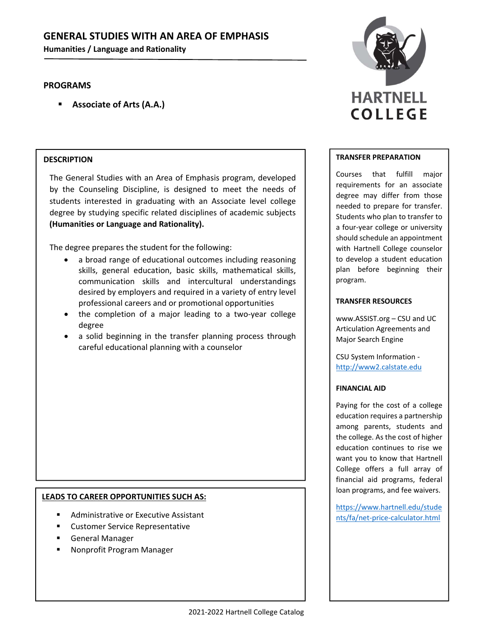# **GENERAL STUDIES WITH AN AREA OF EMPHASIS**

**Humanities / Language and Rationality**

# **PROGRAMS**

**Associate of Arts (A.A.)**

## **DESCRIPTION**

The General Studies with an Area of Emphasis program, developed by the Counseling Discipline, is designed to meet the needs of students interested in graduating with an Associate level college degree by studying specific related disciplines of academic subjects **(Humanities or Language and Rationality).**

The degree prepares the student for the following:

- a broad range of educational outcomes including reasoning skills, general education, basic skills, mathematical skills, communication skills and intercultural understandings desired by employers and required in a variety of entry level professional careers and or promotional opportunities
- the completion of a major leading to a two‐year college degree
- a solid beginning in the transfer planning process through careful educational planning with a counselor

## **LEADS TO CAREER OPPORTUNITIES SUCH AS:**

- Administrative or Executive Assistant
- Customer Service Representative
- General Manager
- Nonprofit Program Manager



### **TRANSFER PREPARATION**

Courses that fulfill major requirements for an associate degree may differ from those needed to prepare for transfer. Students who plan to transfer to a four‐year college or university should schedule an appointment with Hartnell College counselor to develop a student education plan before beginning their program.

### **TRANSFER RESOURCES**

www.ASSIST.org – CSU and UC Articulation Agreements and Major Search Engine

CSU System Information ‐ http://www2.calstate.edu

### **FINANCIAL AID**

Paying for the cost of a college education requires a partnership among parents, students and the college. As the cost of higher education continues to rise we want you to know that Hartnell College offers a full array of financial aid programs, federal loan programs, and fee waivers.

https://www.hartnell.edu/stude nts/fa/net‐price‐calculator.html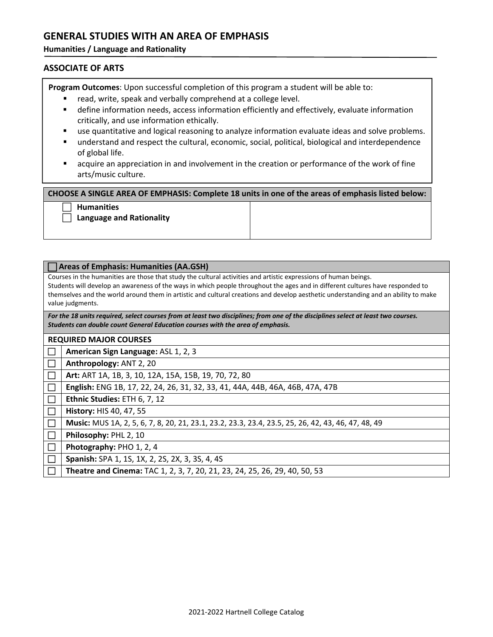# **GENERAL STUDIES WITH AN AREA OF EMPHASIS**

**Humanities / Language and Rationality**

# **ASSOCIATE OF ARTS**

**Program Outcomes**: Upon successful completion of this program a student will be able to:

- **F** read, write, speak and verbally comprehend at a college level.
- define information needs, access information efficiently and effectively, evaluate information critically, and use information ethically.
- use quantitative and logical reasoning to analyze information evaluate ideas and solve problems.
- **understand and respect the cultural, economic, social, political, biological and interdependence** of global life.
- **EXT** acquire an appreciation in and involvement in the creation or performance of the work of fine arts/music culture.

### **CHOOSE A SINGLE AREA OF EMPHASIS: Complete 18 units in one of the areas of emphasis listed below:**

### **Humanities**

**Language and Rationality**

| <b>Areas of Emphasis: Humanities (AA.GSH)</b>                                                                                                                                                                                                                                                                                                                                                                |                                                                                                    |
|--------------------------------------------------------------------------------------------------------------------------------------------------------------------------------------------------------------------------------------------------------------------------------------------------------------------------------------------------------------------------------------------------------------|----------------------------------------------------------------------------------------------------|
| Courses in the humanities are those that study the cultural activities and artistic expressions of human beings.<br>Students will develop an awareness of the ways in which people throughout the ages and in different cultures have responded to<br>themselves and the world around them in artistic and cultural creations and develop aesthetic understanding and an ability to make<br>value judgments. |                                                                                                    |
| For the 18 units required, select courses from at least two disciplines; from one of the disciplines select at least two courses.<br>Students can double count General Education courses with the area of emphasis.                                                                                                                                                                                          |                                                                                                    |
| <b>REQUIRED MAJOR COURSES</b>                                                                                                                                                                                                                                                                                                                                                                                |                                                                                                    |
|                                                                                                                                                                                                                                                                                                                                                                                                              | <b>American Sign Language: ASL 1, 2, 3</b>                                                         |
|                                                                                                                                                                                                                                                                                                                                                                                                              | Anthropology: ANT 2, 20                                                                            |
|                                                                                                                                                                                                                                                                                                                                                                                                              | Art: ART 1A, 1B, 3, 10, 12A, 15A, 15B, 19, 70, 72, 80                                              |
|                                                                                                                                                                                                                                                                                                                                                                                                              | English: ENG 1B, 17, 22, 24, 26, 31, 32, 33, 41, 44A, 44B, 46A, 46B, 47A, 47B                      |
|                                                                                                                                                                                                                                                                                                                                                                                                              | Ethnic Studies: ETH 6, 7, 12                                                                       |
|                                                                                                                                                                                                                                                                                                                                                                                                              | History: HIS 40, 47, 55                                                                            |
|                                                                                                                                                                                                                                                                                                                                                                                                              | Music: MUS 1A, 2, 5, 6, 7, 8, 20, 21, 23.1, 23.2, 23.3, 23.4, 23.5, 25, 26, 42, 43, 46, 47, 48, 49 |
|                                                                                                                                                                                                                                                                                                                                                                                                              | Philosophy: PHL 2, 10                                                                              |
|                                                                                                                                                                                                                                                                                                                                                                                                              | Photography: PHO 1, 2, 4                                                                           |
|                                                                                                                                                                                                                                                                                                                                                                                                              | <b>Spanish:</b> SPA 1, 1S, 1X, 2, 2S, 2X, 3, 3S, 4, 4S                                             |
|                                                                                                                                                                                                                                                                                                                                                                                                              | Theatre and Cinema: TAC 1, 2, 3, 7, 20, 21, 23, 24, 25, 26, 29, 40, 50, 53                         |